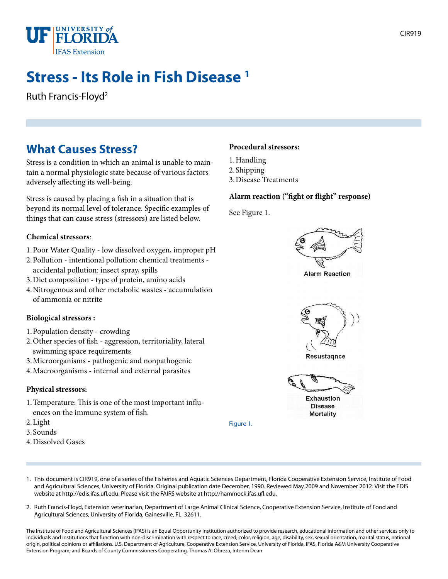

# **Stress - Its Role in Fish Disease 1**

Ruth Francis-Floyd2

## **What Causes Stress?**

Stress is a condition in which an animal is unable to maintain a normal physiologic state because of various factors adversely affecting its well-being.

Stress is caused by placing a fish in a situation that is beyond its normal level of tolerance. Specific examples of things that can cause stress (stressors) are listed below.

### **Chemical stressors**:

- 1.Poor Water Quality low dissolved oxygen, improper pH
- 2.Pollution intentional pollution: chemical treatments accidental pollution: insect spray, spills
- 3.Diet composition type of protein, amino acids
- 4.Nitrogenous and other metabolic wastes accumulation of ammonia or nitrite

#### **Biological stressors :**

- 1.Population density crowding
- 2.Other species of fish aggression, territoriality, lateral swimming space requirements
- 3.Microorganisms pathogenic and nonpathogenic
- 4.Macroorganisms internal and external parasites

#### **Physical stressors:**

- 1.Temperature: This is one of the most important influences on the immune system of fish.
- 2.Light
- 3.Sounds
- 4.Dissolved Gases

### **Procedural stressors:**

- 1.Handling
- 2.Shipping
- 3.Disease Treatments

### **Alarm reaction ("fight or flight" response)**

See Figure 1.



**Mortality** 

1. This document is CIR919, one of a series of the Fisheries and Aquatic Sciences Department, Florida Cooperative Extension Service, Institute of Food and Agricultural Sciences, University of Florida. Original publication date December, 1990. Reviewed May 2009 and November 2012. Visit the EDIS website at http://edis.ifas.ufl.edu. Please visit the FAIRS website at http://hammock.ifas.ufl.edu.

Figure 1.

2. Ruth Francis-Floyd, Extension veterinarian, Department of Large Animal Clinical Science, Cooperative Extension Service, Institute of Food and Agricultural Sciences, University of Florida, Gainesville, FL 32611.

The Institute of Food and Agricultural Sciences (IFAS) is an Equal Opportunity Institution authorized to provide research, educational information and other services only to individuals and institutions that function with non-discrimination with respect to race, creed, color, religion, age, disability, sex, sexual orientation, marital status, national origin, political opinions or affiliations. U.S. Department of Agriculture, Cooperative Extension Service, University of Florida, IFAS, Florida A&M University Cooperative Extension Program, and Boards of County Commissioners Cooperating. Thomas A. Obreza, Interim Dean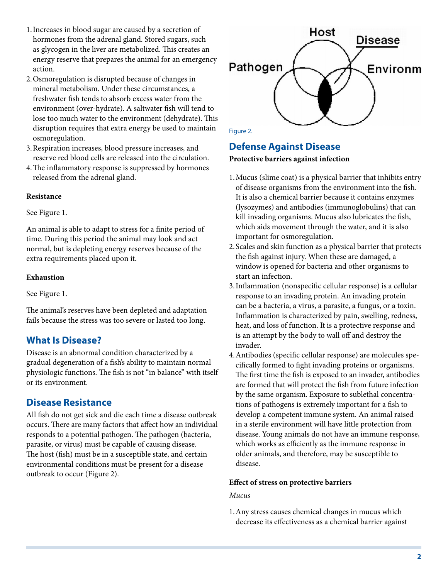- 1.Increases in blood sugar are caused by a secretion of hormones from the adrenal gland. Stored sugars, such as glycogen in the liver are metabolized. This creates an energy reserve that prepares the animal for an emergency action.
- 2.Osmoregulation is disrupted because of changes in mineral metabolism. Under these circumstances, a freshwater fish tends to absorb excess water from the environment (over-hydrate). A saltwater fish will tend to lose too much water to the environment (dehydrate). This disruption requires that extra energy be used to maintain osmoregulation.
- 3.Respiration increases, blood pressure increases, and reserve red blood cells are released into the circulation.
- 4.The inflammatory response is suppressed by hormones released from the adrenal gland.

### **Resistance**

### See Figure 1.

An animal is able to adapt to stress for a finite period of time. During this period the animal may look and act normal, but is depleting energy reserves because of the extra requirements placed upon it.

### **Exhaustion**

See Figure 1.

The animal's reserves have been depleted and adaptation fails because the stress was too severe or lasted too long.

### **What Is Disease?**

Disease is an abnormal condition characterized by a gradual degeneration of a fish's ability to maintain normal physiologic functions. The fish is not "in balance" with itself or its environment.

### **Disease Resistance**

All fish do not get sick and die each time a disease outbreak occurs. There are many factors that affect how an individual responds to a potential pathogen. The pathogen (bacteria, parasite, or virus) must be capable of causing disease. The host (fish) must be in a susceptible state, and certain environmental conditions must be present for a disease outbreak to occur (Figure 2).



### **Defense Against Disease**

### **Protective barriers against infection**

- 1.Mucus (slime coat) is a physical barrier that inhibits entry of disease organisms from the environment into the fish. It is also a chemical barrier because it contains enzymes (lysozymes) and antibodies (immunoglobulins) that can kill invading organisms. Mucus also lubricates the fish, which aids movement through the water, and it is also important for osmoregulation.
- 2.Scales and skin function as a physical barrier that protects the fish against injury. When these are damaged, a window is opened for bacteria and other organisms to start an infection.
- 3.Inflammation (nonspecific cellular response) is a cellular response to an invading protein. An invading protein can be a bacteria, a virus, a parasite, a fungus, or a toxin. Inflammation is characterized by pain, swelling, redness, heat, and loss of function. It is a protective response and is an attempt by the body to wall off and destroy the invader.
- 4.Antibodies (specific cellular response) are molecules specifically formed to fight invading proteins or organisms. The first time the fish is exposed to an invader, antibodies are formed that will protect the fish from future infection by the same organism. Exposure to sublethal concentrations of pathogens is extremely important for a fish to develop a competent immune system. An animal raised in a sterile environment will have little protection from disease. Young animals do not have an immune response, which works as efficiently as the immune response in older animals, and therefore, may be susceptible to disease.

#### **Effect of stress on protective barriers**

#### *Mucus*

1.Any stress causes chemical changes in mucus which decrease its effectiveness as a chemical barrier against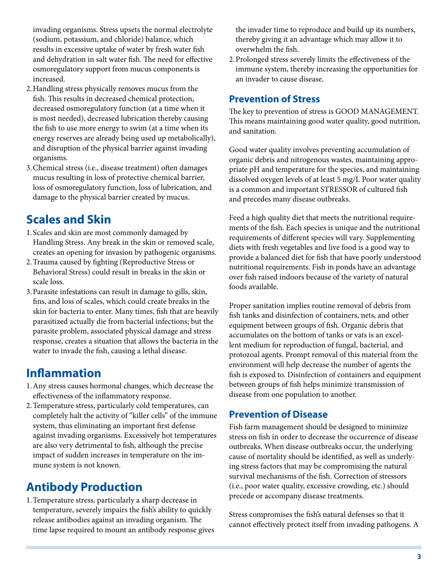invading organisms. Stress upsets the normal electrolyte (sodium, potassium, and chloride) balance, which results in excessive uptake of water by fresh water fish and dehydration in salt water fish. The need for effective osmoregulatory support from mucus components is increased.

- 2.Handling stress physically removes mucus from the fish. This results in decreased chemical protection, decreased osmoregulatory function (at a time when it is most needed), decreased lubrication thereby causing the fish to use more energy to swim (at a time when its energy reserves are already being used up metabolically), and disruption of the physical barrier against invading organisms.
- 3.Chemical stress (i.e., disease treatment) often damages mucus resulting in loss of protective chemical barrier, loss of osmoregulatory function, loss of lubrication, and damage to the physical barrier created by mucus.

## **Scales and Skin**

- 1.Scales and skin are most commonly damaged by Handling Stress. Any break in the skin or removed scale, creates an opening for invasion by pathogenic organisms.
- 2.Trauma caused by fighting (Reproductive Stress or Behavioral Stress) could result in breaks in the skin or scale loss.
- 3.Parasite infestations can result in damage to gills, skin, fins, and loss of scales, which could create breaks in the skin for bacteria to enter. Many times, fish that are heavily parasitized actually die from bacterial infections; but the parasite problem, associated physical damage and stress response, creates a situation that allows the bacteria in the water to invade the fish, causing a lethal disease.

## **Inflammation**

- 1.Any stress causes hormonal changes, which decrease the effectiveness of the inflammatory response.
- 2.Temperature stress, particularly cold temperatures, can completely halt the activity of "killer cells" of the immune system, thus eliminating an important first defense against invading organisms. Excessively hot temperatures are also very detrimental to fish, although the precise impact of sudden increases in temperature on the immune system is not known.

## **Antibody Production**

1.Temperature stress, particularly a sharp decrease in temperature, severely impairs the fish's ability to quickly release antibodies against an invading organism. The time lapse required to mount an antibody response gives the invader time to reproduce and build up its numbers, thereby giving it an advantage which may allow it to overwhelm the fish.

2.Prolonged stress severely limits the effectiveness of the immune system, thereby increasing the opportunities for an invader to cause disease.

### **Prevention of Stress**

The key to prevention of stress is GOOD MANAGEMENT. This means maintaining good water quality, good nutrition, and sanitation.

Good water quality involves preventing accumulation of organic debris and nitrogenous wastes, maintaining appropriate pH and temperature for the species, and maintaining dissolved oxygen levels of at least 5 mg/I. Poor water quality is a common and important STRESSOR of cultured fish and precedes many disease outbreaks.

Feed a high quality diet that meets the nutritional requirements of the fish. Each species is unique and the nutritional requirements of different species will vary. Supplementing diets with fresh vegetables and live food is a good way to provide a balanced diet for fish that have poorly understood nutritional requirements. Fish in ponds have an advantage over fish raised indoors because of the variety of natural foods available.

Proper sanitation implies routine removal of debris from fish tanks and disinfection of containers, nets, and other equipment between groups of fish. Organic debris that accumulates on the bottom of tanks or vats is an excellent medium for reproduction of fungal, bacterial, and protozoal agents. Prompt removal of this material from the environment will help decrease the number of agents the fish is exposed to. Disinfection of containers and equipment between groups of fish helps minimize transmission of disease from one population to another.

### **Prevention of Disease**

Fish farm management should be designed to minimize stress on fish in order to decrease the occurrence of disease outbreaks. When disease outbreaks occur, the underlying cause of mortality should be identified, as well as underlying stress factors that may be compromising the natural survival mechanisms of the fish. Correction of stressors (i.e., poor water quality, excessive crowding, etc.) should precede or accompany disease treatments.

Stress compromises the fish's natural defenses so that it cannot effectively protect itself from invading pathogens. A